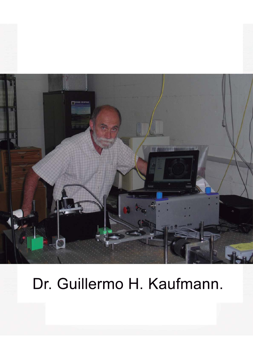

# Dr. Guillermo H. Kaufmann.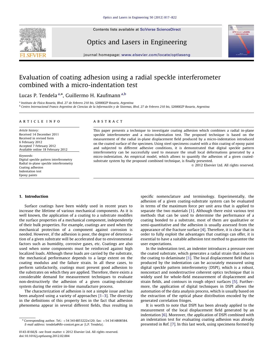

Contents lists available at [SciVerse ScienceDirect](www.elsevier.com/locate/optlaseng)

Optics and Lasers in Engineering



journal homepage: <www.elsevier.com/locate/optlaseng>

## Evaluation of coating adhesion using a radial speckle interferometer combined with a micro-indentation test

### Lucas P. Tendela <sup>a,</sup>\*, Guillermo H. Kaufmann <sup>a,b</sup>

a *Instituto de Fı´sica Rosario, Blvd. 27 de Febrero 210 bis, S2000EZP Rosario, Argentina* <sup>b</sup> Centro Internacional Franco Argentino de Ciencias de la Información y de Sistemas, Blvd. 27 de Febrero 210 bis, S2000EZP Rosario, Argentina

#### article info

*Article history:* Received 14 December 2011 Received in revised form 6 February 2012 Accepted 7 February 2012 Available online 18 February 2012

*Keywords:* Digital speckle pattern interferometry Radial in-plane speckle interferometry Coating adhesion Indentation test Epoxy paints

#### **ABSTRACT**

This paper presents a technique to investigate coating adhesion which combines a radial in-plane speckle interferometer and a micro-indentation test. The proposed technique is based on the measurement of the radial in-plane displacement field produced by a micro-indentation introduced on the coated surface of the specimen. Using steel specimens coated with a thin coating of epoxy paint and subjected to different adhesive conditions, it is demonstrated that digital speckle pattern interferometry can be successfully used to measure the small local deformations generated by a micro-indentation. An empirical model, which allows to quantify the adhesion of a given coatedsubstrate system by the proposed combined technique, is finally presented.

 $\odot$  2012 Elsevier Ltd. All rights reserved.

#### 1. Introduction

Surface coatings have been widely used in recent years to increase the lifetime of various mechanical components. As it is well known, the application of a coating to a substrate modifies the surface properties of a mechanical component, independently of their bulk properties. For example, coatings are used when the mechanical protection of a component against corrosion is needed. However, if the adhesion is poor, the degree of deterioration of a given substrate will be accelerated due to environmental factors such as humidity, corrosive gases, etc. Coatings are also used when some components must be reinforced against high localized loads. Although these loads are carried by the substrate, the mechanical performance depends to a large extent on the coating modulus and the failure strain. In all these cases, to perform satisfactorily, coatings must present good adhesion to the substrates on which they are applied. Therefore, there exists a considerable demand for measurement techniques to evaluate non-destructively the adhesion of a given coating-substrate system during the entire in-line manufacture process.

The characterization of adhesion is not a simple issue and has been analyzed using a variety of approaches [1–3]. The diversity in the definitions of this property lies in the fact that adhesion phenomena appear in several different fields, thus resulting in specific nomenclature and terminology. Experimentally, the adhesion of a given coating-substrate system can be evaluated in terms of the maximum force per unit area that is applied to separate the two materials [1]. Although there exist various test methods that can be used to determine the performance of a coating bonded to a substrate, most of them are qualitative or semi-quantitative and the adhesion is usually assessed from the appearance of the fracture surface [4]. Therefore, it is clear that in order to fully exploit the advantages that coatings can offer, it is essential to have a suitable adhesion test method to guarantee the user expectations.

In the indentation test, an indenter introduces a pressure over the coated substrate, which generates a radial strain that induces the coating to delaminate [1]. The local displacement field that is produced by the indentation can be accurately measured using digital speckle pattern interferometry (DSPI), which is a robust, noncontact and nondestructive coherent optics technique that is widely used for whole-field measurement of displacement and strain fields, and contours in rough object surfaces [5]. Furthermore, the application of digital techniques in DSPI allows the automation of the data analysis process, which is usually based on the extraction of the optical phase distribution encoded by the generated correlation fringes.

It is worth to note that DSPI has been already applied to the measurement of the local displacement field generated by an indentation [6]. Moreover, the application of DSPI combined with an indentation test for evaluating coating adhesion was already presented in Ref. [7]. In this last work, using specimens formed by

 $*$  Corresponding author. Tel.:  $+543414853222x120$ ; fax:  $+543414808584$ . *E-mail address:* [tendela@ifir-conicet.gov.ar \(L.P. Tendela\).](mailto:tendela@ifir-conicet.gov.ar)

<sup>0143-8166/\$ -</sup> see front matter  $\odot$  2012 Elsevier Ltd. All rights reserved. doi:[10.1016/j.optlaseng.2012.02.004](dx.doi.org/10.1016/j.optlaseng.2012.02.004)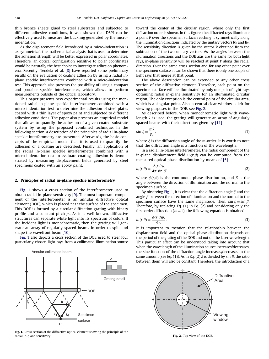thin bronze sheets glued to steel substrates and subjected to different adhesive conditions, it was shown that DSPI can be effectively used to measure the buckling generated by the microindentation.

As the displacement field introduced by a micro-indentation is axisymmetrical, the mathematical analysis that is used to determine the adhesion strength will be better expressed in polar coordinates. Therefore, an optical configuration sensitive to polar coordinates would be naturally the best choice to investigate adhesion phenomena. Recently, Tendela et al. [8] have reported some preliminary results on the evaluation of coating adhesion by using a radial inplane speckle interferometer combined with a micro-indentation test. This approach also presents the possibility of using a compact and portable speckle interferometer, which allows to perform measurements outside of the optical laboratory.

This paper presents new experimental results using the mentioned radial in-plane speckle interferometer combined with a micro-indentation test to determine the adhesion of steel plates coated with a thin layer of epoxy paint and subjected to different adhesive conditions. The paper also presents an empirical model that allows to quantify the adhesion of a given coated-substrate system by using the proposed combined technique. In the following section, a description of the principles of radial in-plane speckle interferometry are presented. Afterwards, the basic concepts of the empirical model that it is used to quantify the adhesion of a coating are described. Finally, an application of the radial in-plane speckle interferometer combined with a micro-indentation test to evaluate coating adhesion is demonstrated by measuring displacement fields generated by steel specimens coated with an epoxy paint.

#### 2. Principles of radial in-plane speckle interferometry

Fig. 1 shows a cross section of the interferometer used to obtain radial in-plane sensitivity [9]. The most important component of the interferometer is an annular diffractive optical element (DOE), which is placed near the surface of the specimen. This DOE is formed by a circular diffraction grating with binary profile and a constant pitch *p<sup>r</sup>* . As it is well known, diffractive structures can separate white light into its spectrum of colors. If the incident light is monochromatic, then the grating will generate an array of regularly spaced beams in order to split and shape the wavefront beam [10].

Fig. 1 also depicts a cross section of the DOE used to steer four particularly chosen light rays from a collimated illumination source



Fig. 1. Cross section of the diffractive optical element showing the principle of the radial in-plane sensitivity.

toward the center of the circular region, where only the first diffraction order is shown. In this figure, the diffracted rays illuminate a point *P* over the specimen surface, reaching it symmetrically along the illumination directions indicated by the unitary vectors  $\mathbf{k}_1$  and  $\mathbf{k}_2$ . The sensitivity direction is given by the vector  $\bf{k}$  obtained from the subtraction of the two unitary vectors. As the angles between the illumination directions and the DOE axis are the same for both light rays, in-plane sensitivity will be reached at point *P* along the radial direction. Over the same cross section and for any other point over the specimen surface, it can be shown that there is only one couple of light rays that merge at that point.

The above description can be extended to any other cross section of the diffractive element. Therefore, each point on the specimen surface will be illuminated by only one pair of light rays obtaining radial in-plane sensitivity for an illuminated circular region. The only exception is the central point of the circular area, which is a singular point. Also, a central clear window is left for viewing purposes in the DOE, see Fig. 2.

As described before, when monochromatic light with wavelength  $\lambda$  is used, the grating will generate an array of angularly spaced beams with their directions given by [11]

$$
\sin \xi = \frac{m\lambda}{p_r},\tag{1}
$$

where  $\xi$  is the diffraction angle of the *m*-order. It is worth to note that the diffraction angle is a function of the wavelength.

In a radial in-plane interferometer, the radial component of the in-plane displacement field  $u_r(r,\theta)$  can be computed from the measured optical phase distribution by means of [5]

$$
u_r(r,\theta) = \frac{\phi(r,\theta)\lambda}{4\pi \sin \beta},
$$
\n(2)

where  $\phi(r,\theta)$  is the continuous phase distribution, and  $\beta$  is the angle between the direction of illumination and the normal to the specimen surface.

By observing Fig. 1, it is clear that the diffraction angle  $\xi$  and the angle  $\beta$  between the direction of illumination and the normal to the specimen surface have the same magnitude. Then,  $\sin \xi = \sin \beta$ . Therefore, by replacing Eq. (1) in Eq. (2) and considering only the first-order diffraction  $(m=1)$ , the following equation is obtained:

$$
u_r(r,\theta) = \frac{\phi(r,\theta)p_r}{4\pi}.
$$
\n(3)

It is important to mention that the relationship between the displacement field and the optical phase distribution depends on the period of the grating of the DOE and not on the laser wavelength. This particular effect can be understood taking into account that when the wavelength of the illumination source increases/decreases, the sine function of the diffraction angle increases/decreases in the same amount (see Eq. (1)). As in Eq. (2)  $\lambda$  is divided by sin  $\beta$ , the ratio between them will also be constant. Therefore, the introduction of a



Fig. 2. Top view of the DOE.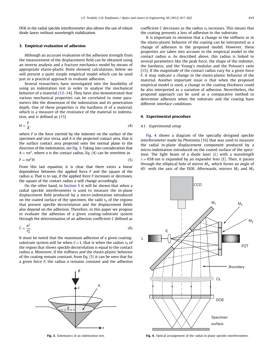DOE in the radial speckle interferometer also allows the use of robust diode lasers without wavelength stabilization.

#### 3. Empirical evaluation of adhesion

Although an accurate evaluation of the adhesion strength from the measurement of the displacement field can be obtained using an inverse analysis and a fracture mechanics model by means of appropriate elasto-plastic finite element calculations, below we will present a quite simple empirical model which can be used just as a practical approach to evaluate adhesion.

Several researchers have investigated into the feasibility of using an indentation test in order to analyse the mechanical behavior of a material [12–14]. They have also demonstrated that various mechanical properties can be correlated to some parameters like the dimension of the indentation and its penetration depth. One of these properties is the hardness *H* of a material, which is a measure of the resistance of the material to indentation, and is defined as [15]

$$
H = \frac{F}{A},\tag{4}
$$

where *F* is the force exerted by the indenter on the surface of the specimen and vice versa, and *A* is the projected contact area, that is the surface contact area projected onto the normal plane to the direction of the indentation, see Fig. 3. Taking into consideration that  $A = \pi a^2$ , where *a* is the contact radius, Eq. (4) can be rewritten as

$$
F = \pi a^2 H. \tag{5}
$$

From this last equation, it is clear that there exists a linear dependence between the applied force *F* and the square of the radius *a*. That is to say, if the applied force *F* increases or decreases, the square of the contact radius *a* will change accordingly.

On the other hand, in Section 5 it will be shown that when a radial speckle interferometer is used to measure the in-plane displacement field produced by a micro-indentation introduced on the coated surface of the specimen, the radii  $r_0$  of the regions that present speckle decorrelation and the displacement fields also depend on the adhesion. Therefore, in this paper we propose to evaluate the adhesion of a given coating-substrate system through the determination of an adhesion coefficient *C* defined as

$$
C = \frac{a^2}{r_0^2}.\tag{6}
$$

It must be noted that the maximum adhesion of a given coatingsubstrate system will be when  $C=1$ , that is when the radius  $r_0$  of the region that shows speckle decorrelation is equal to the contact radius *a*. Moreover, if the stiffness and the elasto-plastic behavior of the coating remain constant, from Eq. (5) it can be seen that for a given force *F*, the radius *a* remains constant and the adhesion



Fig. 3. Schematics of an indentation test.

coefficient *C* decreases as the radius  $r_0$  increases. This means that the coating presents a loss of adhesion to the substrate.

It is important to mention that a change in the stiffness or in the elasto-plastic behavior of the coating can be interpreted as a change of adhesion in the proposed model. However, these properties are taken into account in the empirical model in the contact radius *a*. As described above, this radius is linked to several parameters like the peak force, the shape of the indenter, the hardness, and the Young's modulus and the Poisson's ratio [15]. If the magnitude of the contact radius vary for a given force *F*, it may indicate a change in the elasto-plastic behavior of the material. Another important issue is that when the proposed empirical model is used, a change in the coating thickness could be also interpreted as a variation of adhesion. Nevertheless, the proposed approach can be used as a comparative method to determine adhesion when the substrate and the coating have different interface conditions.

#### 4. Experimental procedure

#### *4.1. Experimental setup*

Fig. 4 shows a diagram of the specially designed speckle interferometer made by Photonita [16] that was used to measure the radial in-plane displacement component produced by a micro-indentation introduced on the coated surface of the specimen. The light beam of a diode laser (*L*) with a wavelength  $\lambda = 658$  nm is expanded by an expander lens (*E*). Then, it passes through the elliptical hole of mirror *M*1, which forms an angle of  $45^\circ$  with the axis of the DOE. Afterwards, mirrors  $M_2$  and  $M_3$ 



Fig. 4. Optical arrangement of the radial in-plane speckle interferometer.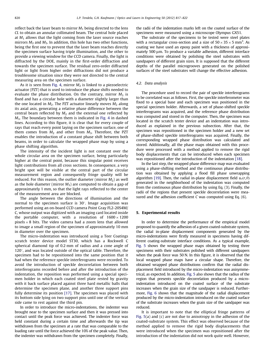reflect back the laser beam to mirror *M*<sup>1</sup> being directed to the lens *CL* to obtain an annular collimated beam. The central hole placed at  $M_1$  allows that the light coming from the laser source reaches mirrors  $M_2$  and  $M_3$ . In addition, this hole has two other functions, being the first one to prevent that the laser beam reaches directly the specimen surface having triple illumination, and the other to provide a viewing window for the CCD camera. Finally, the light is diffracted by the DOE, mainly in the first-order diffraction and towards the specimen surface. The residual zero-order diffracted light or light from higher order diffractions did not produce a troublesome situation since they were not directed to the central measuring area on the specimen surface.

As it is seen from Fig. 4, mirror  $M<sub>2</sub>$  is linked to a piezoelectric actuator (PZT) that is used to introduce the phase shifts needed to evaluate the phase distribution. On the contrary, mirror  $M_3$  is fixed and has a circular hole with a diameter slightly larger than the one located in  $M_2$ . The PZT actuator linearly moves  $M_2$  along its axial axis, generating a relative phase difference between the central beam reflected by  $M_2$  and the external one reflected by *M*3. The boundary between them is indicated in Fig. 4 in dashed lines. According to this figure, it is clear that for every couple of rays that reach every point laying on the specimen surface, one of them comes from  $M_2$  and other from  $M_3$ . Therefore, the PZT enables the introduction of a constant phase shift between both beams, in order to calculate the wrapped phase map by using a phase shifting algorithm.

The intensity of the incident light is not constant over the whole circular area on the specimen surface, being particularly higher at the central point, because this singular point receives light contributions from all cross sections. In consequence, a very bright spot will be visible at the central part of the circular measurement region and consequently fringe quality will be reduced. For this reason, the outlier diameter (mirror  $M_2$ ) as well as the hole diameter (mirror  $M_3$ ) are computed to obtain a gap of approximately 1 mm, so that the light rays reflected to the center of the measurement area are blocked.

The angle between the directions of illumination and the normal to the specimen surface is  $30^{\circ}$ . Image acquisition was performed using an on-board CCD camera Point Gray FL2-20S4M/ C, whose output was digitized with an imaging card located inside the portable computer, with a resolution of  $1600 \times 1200$ pixels $\times$  8 bits. The video camera had a zoom lens that allowed to image a small region of the specimen of approximately 10 mm in diameter over the specimen.

The micro-indentation was introduced using a Teer Coatings scratch tester device model ST30, which has a Rockwell C spherical diamond tip of 0.2 mm of radius and a cone angle of  $120^\circ$ , and was located outside of the optical table. Therefore, the specimen had to be repositioned into the same position that it had when the reference speckle interferograms were recorded. To avoid the introduction of speckle decorrelation between both interferograms recorded before and after the introduction of the indentation, the reposition was performed using a special specimen holder in which each coated steel plate rested by gravity with it back surface placed against three hard metallic balls that determine the specimen plane, and another three support pins fully determine its position [17]. The specimen was placed with its bottom side lying on two support pins until one of the vertical side came to rest against the third pin.

In order to introduce the micro-indentations, the indenter was brought near to the specimen surface and then it was pressed into contact until the peak force was achieved. The indenter force was held constant during a certain time and afterwards the tip was withdrawn from the specimen at a rate that was comparable to the loading rate until the force achieved the 10% of the peak value. Then, the indenter was withdrawn from the specimen completely. Finally, the radii of the indentation marks left on the coated surface of the specimens were measured using a microscope Olympus GX51.

The substrate of the specimens to be tested were steel plates with a rectangular cross-section and a size of  $50 \times 35 \times 5$  mm<sup>3</sup>. As coating we have used an epoxy paint with a thickness of approximately 500  $\mu$ m. To produce a variable adhesion, different interface conditions were obtained by polishing the steel substrates with sandpapers of different grain sizes. It is supposed that the different depths of the parallel microgrooves generated on the polished surfaces of the steel substrates will change the effective adhesion.

#### *4.2. Data analysis*

The procedure used to record the pair of speckle interferograms to be correlated was as follows. First, the speckle interferometer was fixed to a special base and each specimen was positioned in the special specimen holder. Afterwards, a set of phase-shifted speckle interferograms was acquired, and the reference phase distribution was computed and stored in the computer. Then, the specimen was located in the scratch tester device and an indentation was introduced as explained in the previous subsection. After that, the specimen was repositioned in the specimen holder and a new set of phase-shifted speckle interferograms was acquired. Finally, the corresponding wrapped phase distribution was calculated and stored. Additionally, all the phase maps obtained with this procedure were processed with a method applied to remove the rigid body displacements that can be introduced when each specimen was repositioned after the introduction of the indentation [18].

In the last step, the wrapped phase difference map was evaluated using a phase-shifting method and the continuous phase distribution was obtained by applying a flood fill phase unwrapping algorithm [19]. Then, the radial in-plane displacement field  $u_r(r,\theta)$ generated in the neighborhood of the indentation was computed from the continuous phase distribution by using Eq. (3). Finally, the radii of the regions that present speckle decorrelation were measured and the adhesion coefficient *C* was computed using Eq. (6).

#### 5. Experimental results

In order to determine the performance of the empirical model proposed to quantify the adhesion of a given coated-substrate system, the radial in-plane displacement components generated by the micro-indentations were firstly measured in specimens having different coating-substrate interface conditions. As a typical example, Fig. 5 shows the wrapped phase maps obtained by testing three specimens with their substrates polished with different sandpapers when the peak force was 50 N. In this figure, it is observed that the local wrapped phase maps have a circular shape. Therefore, the obtained wrapped phase distributions confirm that the radial displacement field introduced by the micro-indentation was axisymmetrical, as expected. In addition, Fig. 5 also shows that the radius of the region that presents speckle decorrelation produced by a microindentation introduced on the coated surface of the substrate increases when the grain size of the sandpaper is reduced. Furthermore, Fig. 6 shows that the magnitude of the radial displacement produced by the micro-indentation introduced on the coated surface of the substrate increases when the grain size of the sandpaper was reduced.

It is important to note that the elliptical fringe patterns of Fig. 5(a) and (c) are not due to anisotropy in the adhesion of the coated-substrate system. This effect was observed because of the method applied to remove the rigid body displacements that were introduced when the specimen was repositioned after the introduction of the indentation did not work quite well. However,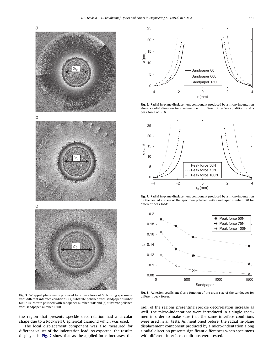



Fig. 5. Wrapped phase maps produced for a peak force of 50 N using specimens with different interface conditions: (a) substrate polished with sandpaper number 60; (b) substrate polished with sandpaper number 600; and (c) substrate polished with sandpaper number 1500.

the region that presents speckle decorrelation had a circular shape due to a Rockwell C spherical diamond which was used.

The local displacement component was also measured for different values of the indentation load. As expected, the results displayed in Fig. 7 show that as the applied force increases, the



Fig. 6. Radial in-plane displacement component produced by a micro-indentation along a radial direction for specimens with different interface conditions and a peak force of 50 N.



Fig. 7. Radial in-plane displacement component produced by a micro-indentation on the coated surface of the specimen polished with sandpaper number 320 for different peak loads.



Fig. 8. Adhesion coefficient *C* as a function of the grain size of the sandpaper for different peak forces.

radii of the regions presenting speckle decorrelation increase as well. The micro-indentations were introduced in a single specimen in order to make sure that the same interface conditions were used in all tests. As mentioned before, the radial in-plane displacement component produced by a micro-indentation along a radial direction presents significant differences when specimens with different interface conditions were tested.